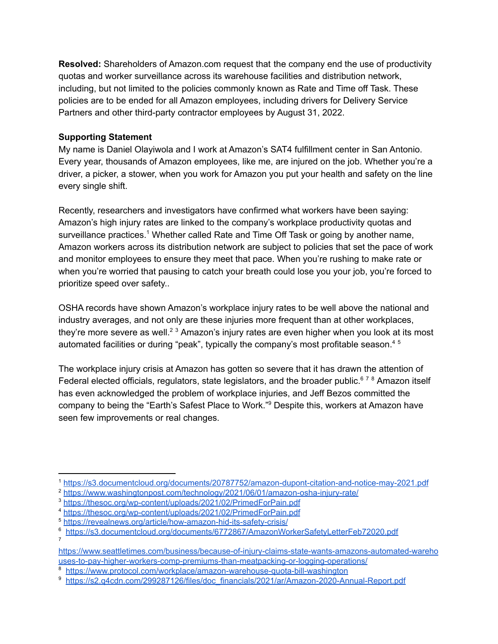**Resolved:** Shareholders of Amazon.com request that the company end the use of productivity quotas and worker surveillance across its warehouse facilities and distribution network, including, but not limited to the policies commonly known as Rate and Time off Task. These policies are to be ended for all Amazon employees, including drivers for Delivery Service Partners and other third-party contractor employees by August 31, 2022.

## **Supporting Statement**

My name is Daniel Olayiwola and I work at Amazon's SAT4 fulfillment center in San Antonio. Every year, thousands of Amazon employees, like me, are injured on the job. Whether you're a driver, a picker, a stower, when you work for Amazon you put your health and safety on the line every single shift.

Recently, researchers and investigators have confirmed what workers have been saying: Amazon's high injury rates are linked to the company's workplace productivity quotas and surveillance practices.<sup>1</sup> Whether called Rate and Time Off Task or going by another name, Amazon workers across its distribution network are subject to policies that set the pace of work and monitor employees to ensure they meet that pace. When you're rushing to make rate or when you're worried that pausing to catch your breath could lose you your job, you're forced to prioritize speed over safety..

OSHA records have shown Amazon's workplace injury rates to be well above the national and industry averages, and not only are these injuries more frequent than at other workplaces, they're more severe as well.<sup>2 3</sup> Amazon's injury rates are even higher when you look at its most automated facilities or during "peak", typically the company's most profitable season. 4 5

The workplace injury crisis at Amazon has gotten so severe that it has drawn the attention of Federal elected officials, regulators, state legislators, and the broader public.<sup>678</sup> Amazon itself has even acknowledged the problem of workplace injuries, and Jeff Bezos committed the company to being the "Earth's Safest Place to Work."<sup>9</sup> Despite this, workers at Amazon have seen few improvements or real changes.

<sup>1</sup> https://s3.documentcloud.org/documents/20787752/amazon-dupont-citation-and-notice-may-2021.pdf

<sup>2</sup> https://www.washingtonpost.com/technology/2021/06/01/amazon-osha-injury-rate/

<sup>3</sup> https://thesoc.org/wp-content/uploads/2021/02/PrimedForPain.pdf

<sup>4</sup> https://thesoc.org/wp-content/uploads/2021/02/PrimedForPain.pdf

<sup>5</sup> https://revealnews.org/article/how-amazon-hid-its-safety-crisis/

<sup>7</sup> <sup>6</sup> https://s3.documentcloud.org/documents/6772867/AmazonWorkerSafetyLetterFeb72020.pdf

https://www.seattletimes.com/business/because-of-injury-claims-state-wants-amazons-automated-wareho uses-to-pay-higher-workers-comp-premiums-than-meatpacking-or-logging-operations/

<sup>8</sup> https://www.protocol.com/workplace/amazon-warehouse-quota-bill-washington

<sup>9</sup> https://s2.q4cdn.com/299287126/files/doc\_financials/2021/ar/Amazon-2020-Annual-Report.pdf